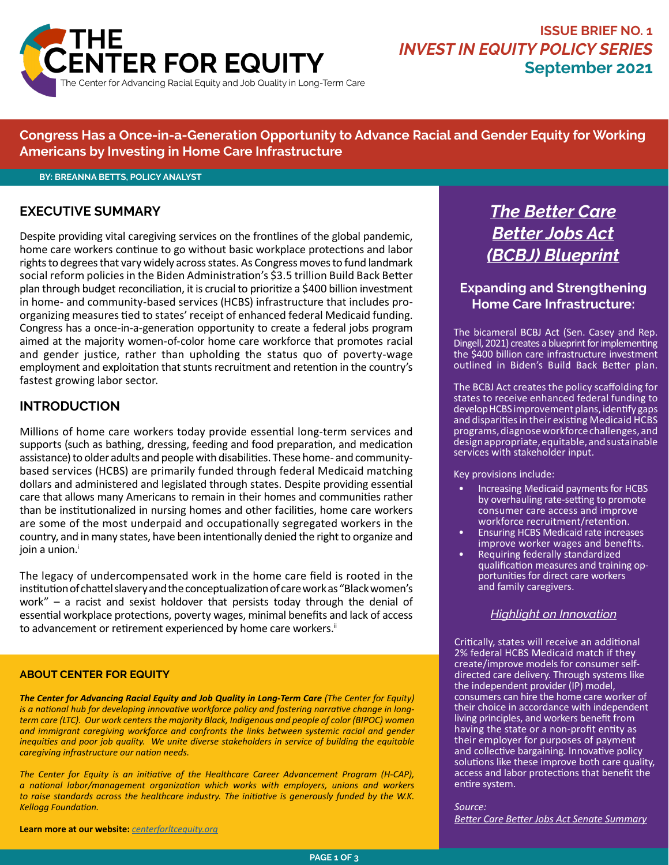

**Congress Has a Once-in-a-Generation Opportunity to Advance Racial and Gender Equity for Working Americans by Investing in Home Care Infrastructure**

#### **BY: BREANNA BETTS, POLICY ANALYST**

### **EXECUTIVE SUMMARY**

Despite providing vital caregiving services on the frontlines of the global pandemic, home care workers continue to go without basic workplace protections and labor rights to degrees that vary widely across states. As Congress moves to fund landmark social reform policies in the Biden Administration's \$3.5 trillion Build Back Better plan through budget reconciliation, it is crucial to prioritize a \$400 billion investment in home- and community-based services (HCBS) infrastructure that includes proorganizing measures tied to states' receipt of enhanced federal Medicaid funding. Congress has a once-in-a-generation opportunity to create a federal jobs program aimed at the majority women-of-color home care workforce that promotes racial and gender justice, rather than upholding the status quo of poverty-wage employment and exploitation that stunts recruitment and retention in the country's fastest growing labor sector.

#### **INTRODUCTION**

Millions of home care workers today provide essential long-term services and supports (such as bathing, dressing, feeding and food preparation, and medication assistance) to older adults and people with disabilities. These home- and communitybased services (HCBS) are primarily funded through federal Medicaid matching dollars and administered and legislated through states. Despite providing essential care that allows many Americans to remain in their homes and communities rather than be institutionalized in nursing homes and other facilities, home care workers are some of the most underpaid and occupationally segregated workers in the country, and in many states, have been intentionally denied the right to organize and join a union.<sup>i</sup>

The legacy of undercompensated work in the home care field is rooted in the institution of chattel slavery and the conceptualization of care work as "Black women's work" – a racist and sexist holdover that persists today through the denial of essential workplace protections, poverty wages, minimal benefits and lack of access to advancement or retirement experienced by home care [workers.](http://workers.ii)<sup>ii</sup>

#### **ABOUT CENTER FOR EQUITY**

*The Center for Advancing Racial Equity and Job Quality in Long-Term Care (The Center for Equity) is a national hub for developing innovative workforce policy and fostering narrative change in longterm care (LTC). Our work centers the majority Black, Indigenous and people of color (BIPOC) women and immigrant caregiving workforce and confronts the links between systemic racial and gender inequities and poor job quality. We unite diverse stakeholders in service of building the equitable caregiving infrastructure our nation needs.*

*The Center for Equity is an initiative of the Healthcare Career Advancement Program (H-CAP), a national labor/management organization which works with employers, unions and workers to raise standards across the healthcare industry. The initiative is generously funded by the W.K. Kellogg Foundation.*

**Learn more at our website:** *[centerforltcequity.org](http://centerforltcequity.org)*

# *The Better Care Better Jobs Act (BCBJ) Blueprint*

## **Expanding and Strengthening Home Care Infrastructure:**

The bicameral BCBJ Act (Sen. Casey and Rep. Dingell, 2021) creates a blueprint for implementing the \$400 billion care infrastructure investment outlined in Biden's Build Back Better plan.

The BCBJ Act creates the policy scaffolding for states to receive enhanced federal funding to develop HCBS improvement plans, identify gaps and disparities in their existing Medicaid HCBS programs, diagnose workforce challenges, and design appropriate, equitable, and sustainable services with stakeholder input.

Key provisions include:

- Increasing Medicaid payments for HCBS by overhauling rate-setting to promote consumer care access and improve workforce recruitment/retention.
- Ensuring HCBS Medicaid rate increases improve worker wages and benefits.
- Requiring federally standardized qualification measures and training opportunities for direct care workers and family caregivers.

#### *Highlight on Innovation*

Critically, states will receive an additional 2% federal HCBS Medicaid match if they create/improve models for consumer selfdirected care delivery. Through systems like the independent provider (IP) model, consumers can hire the home care worker of their choice in accordance with independent living principles, and workers benefit from having the state or a non-profit entity as their employer for purposes of payment and collective bargaining. Innovative policy solutions like these improve both care quality, access and labor protections that benefit the entire system.

*Source: [Better Care Better Jobs Act Senate Summary](https://www.aging.senate.gov/imo/media/doc/Better Care Better Jobs Act One Pager SBS 072821.pdf)*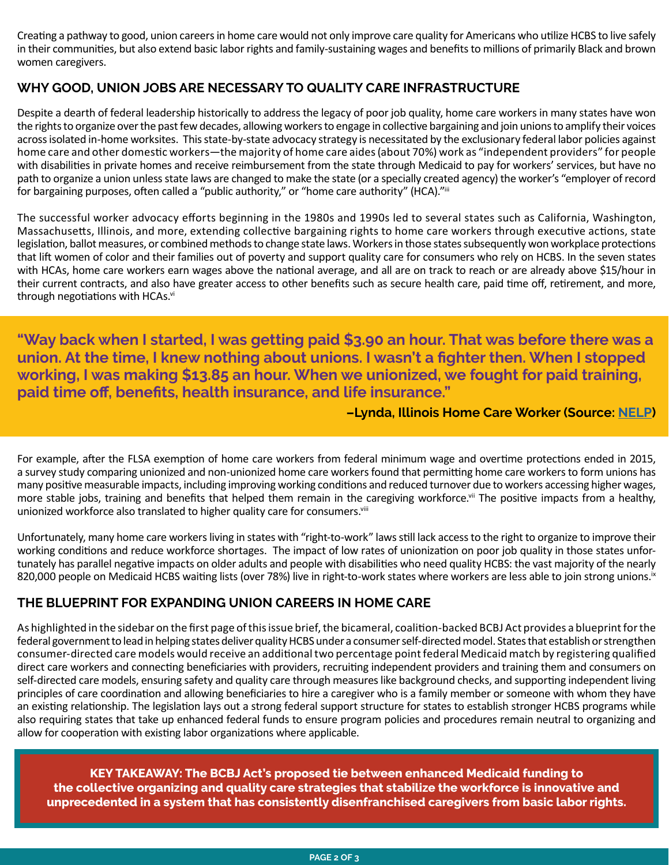Creating a pathway to good, union careers in home care would not only improve care quality for Americans who utilize HCBS to live safely in their communities, but also extend basic labor rights and family-sustaining wages and benefits to millions of primarily Black and brown women caregivers.

## **WHY GOOD, UNION JOBS ARE NECESSARY TO QUALITY CARE INFRASTRUCTURE**

Despite a dearth of federal leadership historically to address the legacy of poor job quality, home care workers in many states have won the rights to organize over the past few decades, allowing workers to engage in collective bargaining and join unions to amplify their voices across isolated in-home worksites. This state-by-state advocacy strategy is necessitated by the exclusionary federal labor policies against home care and other domestic workers—the majority of home care aides (about 70%) work as "independent providers" for people with disabilities in private homes and receive reimbursement from the state through Medicaid to pay for workers' services, but have no path to organize a union unless state laws are changed to make the state (or a specially created agency) the worker's "employer of record for bargaining purposes, often called a "public authority," or "home care authority" (HCA)."iii

The successful worker advocacy efforts beginning in the 1980s and 1990s led to several states such as California, Washington, Massachusetts, Illinois, and more, extending collective bargaining rights to home care workers through executive actions, state legislation, ballot measures, or combined methods to change state laws. Workers in those states subsequently won workplace protections that lift women of color and their families out of poverty and support quality care for consumers who rely on HCBS. In the seven states with HCAs, home care workers earn wages above the national average, and all are on track to reach or are already above \$15/hour in their current contracts, and also have greater access to other benefits such as secure health care, paid time off, retirement, and more, through negotiations with [HCAs.](http://HCAs.vi)<sup>vi</sup>

**"Way back when I started, I was getting paid \$3.90 an hour. That was before there was a union. At the time, I knew nothing about unions. I wasn't a fighter then. When I stopped working, I was making \$13.85 an hour. When we unionized, we fought for paid training, paid time off, benefits, health insurance, and life insurance."** 

**–Lynda, Illinois Home Care Worker (Source: [NELP\)](https://s27147.pcdn.co/wp-content/uploads/surveying-home-care-workforce.pdf)**

For example, after the FLSA exemption of home care workers from federal minimum wage and overtime protections ended in 2015, a survey study comparing unionized and non-unionized home care workers found that permitting home care workers to form unions has many positive measurable impacts, including improving working conditions and reduced turnover due to workers accessing higher wages, more stable jobs, training and benefits that helped them remain in the caregiving workforce.<sup>vii</sup> The positive impacts from a healthy, unionized workforce also translated to higher quality care for consumers.<sup>viii</sup>

Unfortunately, many home care workers living in states with "right-to-work" laws still lack access to the right to organize to improve their working conditions and reduce workforce shortages. The impact of low rates of unionization on poor job quality in those states unfortunately has parallel negative impacts on older adults and people with disabilities who need quality HCBS: the vast majority of the nearly 820,000 people on Medicaid HCBS waiting lists (over 78%) live in right-to-work states where workers are less able to join strong [unions.](http://unions.ix)<sup>ix</sup>

# **THE BLUEPRINT FOR EXPANDING UNION CAREERS IN HOME CARE**

As highlighted in the sidebar on the first page of this issue brief, the bicameral, coalition-backed BCBJ Act provides a blueprint for the federal government to lead in helping states deliver quality HCBS under a consumer self-directed model. States that establish or strengthen consumer-directed care models would receive an additional two percentage point federal Medicaid match by registering qualified direct care workers and connecting beneficiaries with providers, recruiting independent providers and training them and consumers on self-directed care models, ensuring safety and quality care through measures like background checks, and supporting independent living principles of care coordination and allowing beneficiaries to hire a caregiver who is a family member or someone with whom they have an existing relationship. The legislation lays out a strong federal support structure for states to establish stronger HCBS programs while also requiring states that take up enhanced federal funds to ensure program policies and procedures remain neutral to organizing and allow for cooperation with existing labor organizations where applicable.

**KEY TAKEAWAY: The BCBJ Act's proposed tie between enhanced Medicaid funding to the collective organizing and quality care strategies that stabilize the workforce is innovative and unprecedented in a system that has consistently disenfranchised caregivers from basic labor rights.**